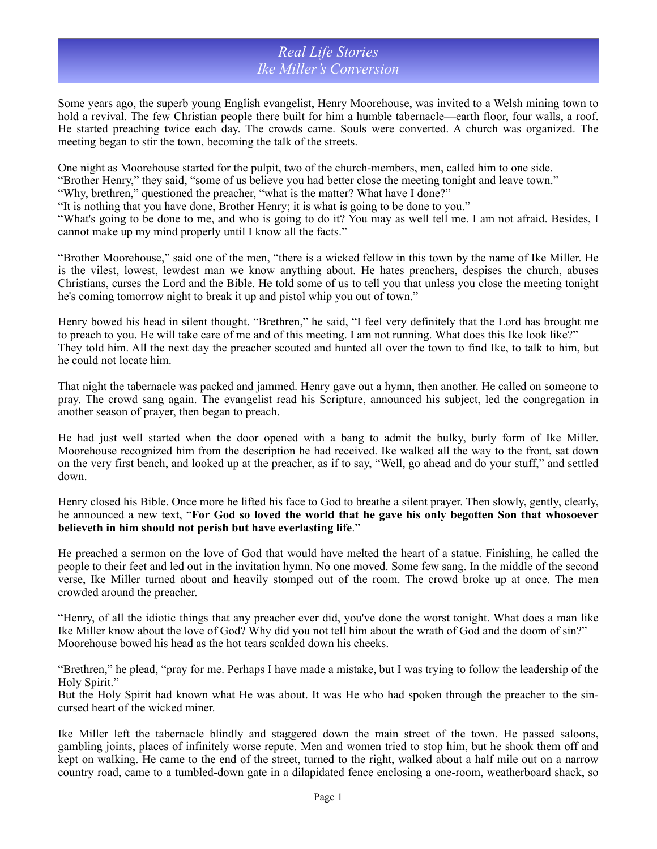## *Real Life Stories Ike Miller's Conversion*

Some years ago, the superb young English evangelist, Henry Moorehouse, was invited to a Welsh mining town to hold a revival. The few Christian people there built for him a humble tabernacle—earth floor, four walls, a roof. He started preaching twice each day. The crowds came. Souls were converted. A church was organized. The meeting began to stir the town, becoming the talk of the streets.

One night as Moorehouse started for the pulpit, two of the church-members, men, called him to one side.

"Brother Henry," they said, "some of us believe you had better close the meeting tonight and leave town."

"Why, brethren," questioned the preacher, "what is the matter? What have I done?"

"It is nothing that you have done, Brother Henry; it is what is going to be done to you."

"What's going to be done to me, and who is going to do it? You may as well tell me. I am not afraid. Besides, I cannot make up my mind properly until I know all the facts."

"Brother Moorehouse," said one of the men, "there is a wicked fellow in this town by the name of Ike Miller. He is the vilest, lowest, lewdest man we know anything about. He hates preachers, despises the church, abuses Christians, curses the Lord and the Bible. He told some of us to tell you that unless you close the meeting tonight he's coming tomorrow night to break it up and pistol whip you out of town."

Henry bowed his head in silent thought. "Brethren," he said, "I feel very definitely that the Lord has brought me to preach to you. He will take care of me and of this meeting. I am not running. What does this Ike look like?" They told him. All the next day the preacher scouted and hunted all over the town to find Ike, to talk to him, but he could not locate him.

That night the tabernacle was packed and jammed. Henry gave out a hymn, then another. He called on someone to pray. The crowd sang again. The evangelist read his Scripture, announced his subject, led the congregation in another season of prayer, then began to preach.

He had just well started when the door opened with a bang to admit the bulky, burly form of Ike Miller. Moorehouse recognized him from the description he had received. Ike walked all the way to the front, sat down on the very first bench, and looked up at the preacher, as if to say, "Well, go ahead and do your stuff," and settled down.

Henry closed his Bible. Once more he lifted his face to God to breathe a silent prayer. Then slowly, gently, clearly, he announced a new text, "**For God so loved the world that he gave his only begotten Son that whosoever believeth in him should not perish but have everlasting life**."

He preached a sermon on the love of God that would have melted the heart of a statue. Finishing, he called the people to their feet and led out in the invitation hymn. No one moved. Some few sang. In the middle of the second verse, Ike Miller turned about and heavily stomped out of the room. The crowd broke up at once. The men crowded around the preacher.

"Henry, of all the idiotic things that any preacher ever did, you've done the worst tonight. What does a man like Ike Miller know about the love of God? Why did you not tell him about the wrath of God and the doom of sin?" Moorehouse bowed his head as the hot tears scalded down his cheeks.

"Brethren," he plead, "pray for me. Perhaps I have made a mistake, but I was trying to follow the leadership of the Holy Spirit."

But the Holy Spirit had known what He was about. It was He who had spoken through the preacher to the sincursed heart of the wicked miner.

Ike Miller left the tabernacle blindly and staggered down the main street of the town. He passed saloons, gambling joints, places of infinitely worse repute. Men and women tried to stop him, but he shook them off and kept on walking. He came to the end of the street, turned to the right, walked about a half mile out on a narrow country road, came to a tumbled-down gate in a dilapidated fence enclosing a one-room, weatherboard shack, so